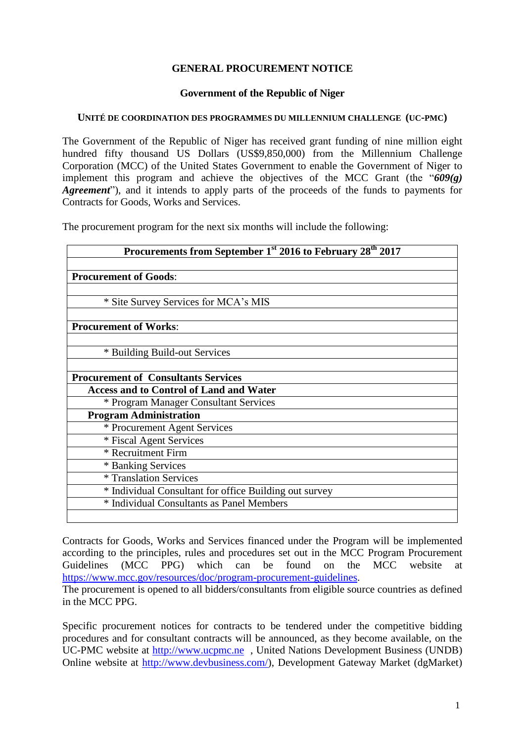## **GENERAL PROCUREMENT NOTICE**

## **Government of the Republic of Niger**

## **UNITÉ DE COORDINATION DES PROGRAMMES DU MILLENNIUM CHALLENGE (UC-PMC)**

The Government of the Republic of Niger has received grant funding of nine million eight hundred fifty thousand US Dollars (US\$9,850,000) from the Millennium Challenge Corporation (MCC) of the United States Government to enable the Government of Niger to implement this program and achieve the objectives of the MCC Grant (the "*609(g) Agreement*"), and it intends to apply parts of the proceeds of the funds to payments for Contracts for Goods, Works and Services.

The procurement program for the next six months will include the following:

| Procurements from September 1 <sup>st</sup> 2016 to February 28 <sup>th</sup> 2017 |
|------------------------------------------------------------------------------------|
|                                                                                    |
| <b>Procurement of Goods:</b>                                                       |
|                                                                                    |
| * Site Survey Services for MCA's MIS                                               |
|                                                                                    |
| <b>Procurement of Works:</b>                                                       |
|                                                                                    |
| * Building Build-out Services                                                      |
|                                                                                    |
| <b>Procurement of Consultants Services</b>                                         |
| <b>Access and to Control of Land and Water</b>                                     |
| * Program Manager Consultant Services                                              |
| <b>Program Administration</b>                                                      |
| * Procurement Agent Services                                                       |
| * Fiscal Agent Services                                                            |
| * Recruitment Firm                                                                 |
| * Banking Services                                                                 |
| * Translation Services                                                             |
| * Individual Consultant for office Building out survey                             |
| * Individual Consultants as Panel Members                                          |
|                                                                                    |

Contracts for Goods, Works and Services financed under the Program will be implemented according to the principles, rules and procedures set out in the MCC Program Procurement Guidelines (MCC PPG) which can be found on the MCC website at [https://www.mcc.gov/resources/doc/program-procurement-guidelines.](https://www.mcc.gov/resources/doc/program-procurement-guidelines)

The procurement is opened to all bidders/consultants from eligible source countries as defined in the MCC PPG.

Specific procurement notices for contracts to be tendered under the competitive bidding procedures and for consultant contracts will be announced, as they become available, on the UC-PMC website at [http://www.ucpmc.ne](http://www.ucpmc.ne/) , United Nations Development Business (UNDB) Online website at [http://www.devbusiness.com/\)](http://www.devbusiness.com/), Development Gateway Market (dgMarket)